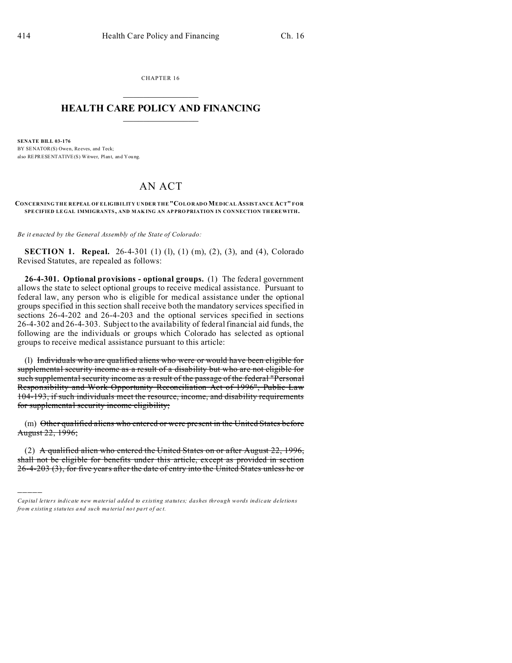)))))

CHAPTER 16  $\overline{\phantom{a}}$  , where  $\overline{\phantom{a}}$ 

### **HEALTH CARE POLICY AND FINANCING**  $\_$   $\_$   $\_$   $\_$   $\_$   $\_$   $\_$   $\_$

**SENATE BILL 03-176** BY SENATOR(S) Owen, Reeves, and Teck; also REPRESENTATIVE(S) Witwer, Plant, and You ng.

# AN ACT

**CONCERNING THE REPEAL OF ELIGIBILITY UNDER THE "COLORADO MEDICAL ASSISTANCE ACT" FOR SPE CIFIED LEGAL IMMIGRANTS , AND MAK ING AN AP PRO PRIATION IN CON NECTION TH EREWITH.**

*Be it enacted by the General Assembly of the State of Colorado:*

**SECTION 1. Repeal.** 26-4-301 (1) (1), (1) (m), (2), (3), and (4), Colorado Revised Statutes, are repealed as follows:

**26-4-301. Optional provisions - optional groups.** (1) The federal government allows the state to select optional groups to receive medical assistance. Pursuant to federal law, any person who is eligible for medical assistance under the optional groups specified in this section shall receive both the mandatory services specified in sections 26-4-202 and 26-4-203 and the optional services specified in sections 26-4-302 and 26-4-303. Subject to the availability of federal financial aid funds, the following are the individuals or groups which Colorado has selected as optional groups to receive medical assistance pursuant to this article:

(l) Individuals who are qualified aliens who were or would have been eligible for supplemental security income as a result of a disability but who are not eligible for such supplemental security income as a result of the passage of the federal "Personal Responsibility and Work Opportunity Reconciliation Act of 1996", Public Law 104-193, if such individuals meet the resource, income, and disability requirements for supplemental security income eligibility;

(m) Other qualified aliens who entered or were present in the United States before August 22, 1996;

(2) A qualified alien who entered the United States on or after August 22, 1996, shall not be eligible for benefits under this article, except as provided in section 26-4-203 (3), for five years after the date of entry into the United States unless he or

*Capital letters indicate new material added to existing statutes; dashes through words indicate deletions from e xistin g statu tes a nd such ma teria l no t pa rt of ac t.*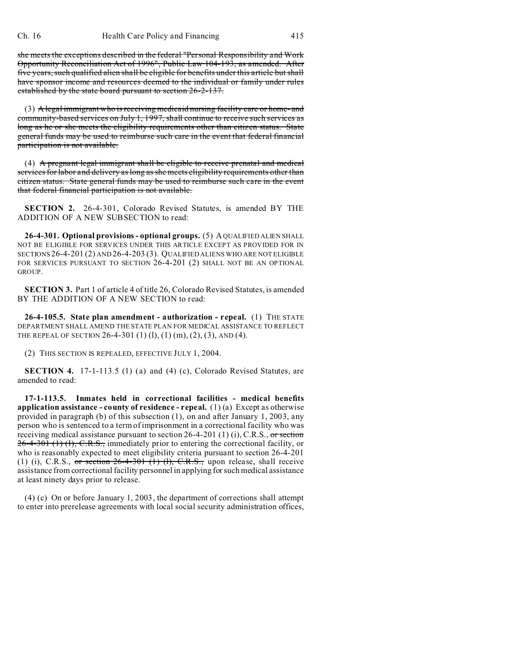she meets the exceptions described in the federal "Personal Responsibility and Work Opportunity Reconciliation Act of 1996", Public Law 104-193, as amended. After five years, such qualified alien shall be eligible for benefits under this article but shall have sponsor income and resources deemed to the individual or family under rules established by the state board pursuant to section 26-2-137.

(3) A legal immigrant who is receiving medicaid nursing facility care or home- and community-based services on July 1, 1997, shall continue to receive such services as long as he or she meets the eligibility requirements other than citizen status. State general funds may be used to reimburse such care in the event that federal financial participation is not available.

(4) A pregnant legal immigrant shall be eligible to receive prenatal and medical services for labor and delivery as long as she meets eligibility requirements other than citizen status. State general funds may be used to reimburse such care in the event that federal financial participation is not available.

**SECTION 2.** 26-4-301, Colorado Revised Statutes, is amended BY THE ADDITION OF A NEW SUBSECTION to read:

**26-4-301. Optional provisions - optional groups.** (5) A QUALIFIED ALIEN SHALL NOT BE ELIGIBLE FOR SERVICES UNDER THIS ARTICLE EXCEPT AS PROVIDED FOR IN SECTIONS 26-4-201 (2) AND 26-4-203 (3). QUALIFIED ALIENS WHO ARE NOT ELIGIBLE FOR SERVICES PURSUANT TO SECTION 26-4-201 (2) SHALL NOT BE AN OPTIONAL GROUP.

**SECTION 3.** Part 1 of article 4 of title 26, Colorado Revised Statutes, is amended BY THE ADDITION OF A NEW SECTION to read:

**26-4-105.5. State plan amendment - authorization - repeal.** (1) THE STATE DEPARTMENT SHALL AMEND THE STATE PLAN FOR MEDICAL ASSISTANCE TO REFLECT THE REPEAL OF SECTION 26-4-301 (1)(1), (1)(m), (2), (3), AND (4).

(2) THIS SECTION IS REPEALED, EFFECTIVE JULY 1, 2004.

**SECTION 4.** 17-1-113.5 (1) (a) and (4) (c), Colorado Revised Statutes, are amended to read:

**17-1-113.5. Inmates held in correctional facilities - medical benefits application assistance - county of residence - repeal.** (1) (a) Except as otherwise provided in paragraph (b) of this subsection (1), on and after January 1, 2003, any person who is sentenced to a term of imprisonment in a correctional facility who was receiving medical assistance pursuant to section  $26-4-201$  (1) (i), C.R.S., or section  $26-4-301$  (1) (1), C.R.S., immediately prior to entering the correctional facility, or who is reasonably expected to meet eligibility criteria pursuant to section 26-4-201 (1) (i), C.R.S., or section  $26-4-301$  (1) (1), C.R.S., upon release, shall receive assistance from correctional facility personnel in applying for such medical assistance at least ninety days prior to release.

(4) (c) On or before January 1, 2003, the department of corrections shall attempt to enter into prerelease agreements with local social security administration offices,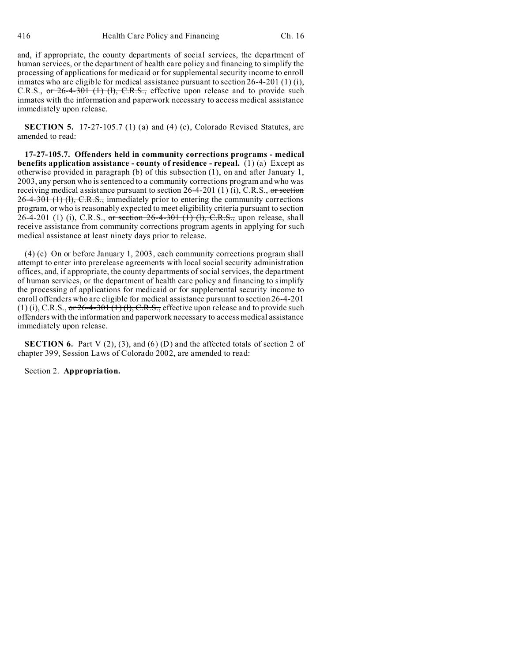and, if appropriate, the county departments of social services, the department of human services, or the department of health care policy and financing to simplify the processing of applications for medicaid or for supplemental security income to enroll inmates who are eligible for medical assistance pursuant to section 26-4-201 (1) (i), C.R.S., or 26-4-301 (1) (1), C.R.S., effective upon release and to provide such inmates with the information and paperwork necessary to access medical assistance immediately upon release.

**SECTION 5.** 17-27-105.7 (1) (a) and (4) (c), Colorado Revised Statutes, are amended to read:

**17-27-105.7. Offenders held in community corrections programs - medical benefits application assistance - county of residence - repeal.** (1) (a) Except as otherwise provided in paragraph (b) of this subsection (1), on and after January 1, 2003, any person who is sentenced to a community corrections program and who was receiving medical assistance pursuant to section 26-4-201 (1) (i), C.R.S., or section 26-4-301 (1) (1), C.R.S., immediately prior to entering the community corrections program, or who is reasonably expected to meet eligibility criteria pursuant to section 26-4-201 (1) (i), C.R.S., or section 26-4-301 (1) (1), C.R.S., upon release, shall receive assistance from community corrections program agents in applying for such medical assistance at least ninety days prior to release.

(4) (c) On or before January 1, 2003, each community corrections program shall attempt to enter into prerelease agreements with local social security administration offices, and, if appropriate, the county departments of social services, the department of human services, or the department of health care policy and financing to simplify the processing of applications for medicaid or for supplemental security income to enroll offenders who are eligible for medical assistance pursuant to section 26-4-201 (1) (i), C.R.S., or  $26-4-301(1)$  (l), C.R.S., effective upon release and to provide such offenders with the information and paperwork necessary to access medical assistance immediately upon release.

**SECTION 6.** Part V (2), (3), and (6) (D) and the affected totals of section 2 of chapter 399, Session Laws of Colorado 2002, are amended to read:

Section 2. **Appropriation.**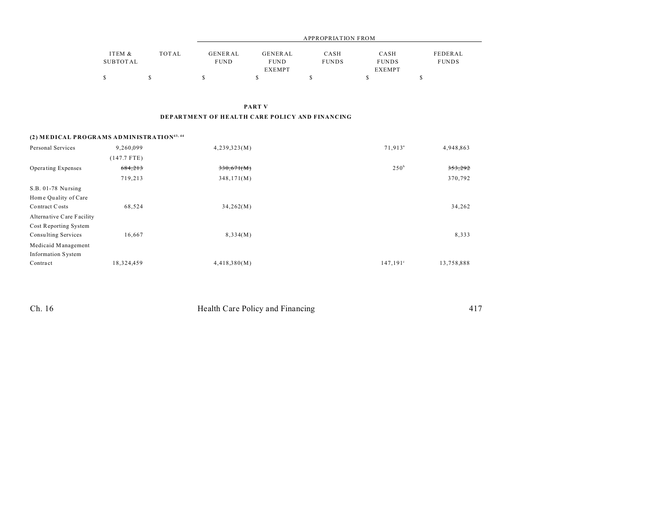|          |       | APPROPRIATION FROM |               |              |               |              |  |  |
|----------|-------|--------------------|---------------|--------------|---------------|--------------|--|--|
| ITEM &   | TOTAL | GENERAL            | GENERAL       | CASH         | CASH          | FEDERAL      |  |  |
| SUBTOTAL |       | <b>FUND</b>        | <b>FUND</b>   | <b>FUNDS</b> | <b>FUNDS</b>  | <b>FUNDS</b> |  |  |
|          |       |                    | <b>EXEMPT</b> |              | <b>EXEMPT</b> |              |  |  |
|          |       |                    |               |              |               |              |  |  |

PART V

#### DEPARTMENT OF HEALTH CARE POLICY AND FINANCING

### (2) MEDICAL PROGRAMS ADMINISTRATION<sup>43, 44</sup>

| Personal Services         | 9.260.099     | 4,239,323(M) | 71,913 <sup>a</sup> | 4,948,863  |
|---------------------------|---------------|--------------|---------------------|------------|
|                           | $(147.7$ FTE) |              |                     |            |
| Operating Expenses        | 684,213       | 330,671(M)   | $250^{\mathrm{b}}$  | 353,292    |
|                           | 719,213       | 348,171(M)   |                     | 370,792    |
| S.B. 01-78 Nursing        |               |              |                     |            |
| Home Quality of Care      |               |              |                     |            |
| Contract Costs            | 68,524        | 34,262(M)    |                     | 34,262     |
| Alternative Care Facility |               |              |                     |            |
| Cost Reporting System     |               |              |                     |            |
| Consulting Services       | 16,667        | 8,334(M)     |                     | 8,333      |
| Medicaid Management       |               |              |                     |            |
| <b>Information System</b> |               |              |                     |            |
| Contract                  | 18,324,459    | 4,418,380(M) | 147,191°            | 13,758,888 |

| Ch. 16 | Health Care Policy and Financing |
|--------|----------------------------------|
|--------|----------------------------------|

417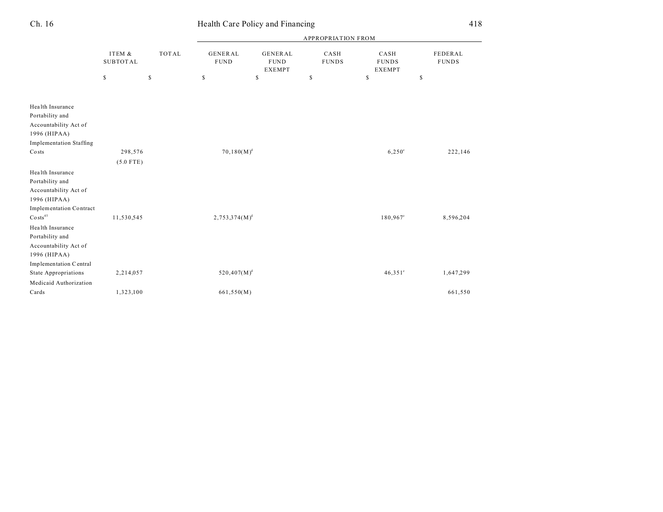|                                |                           |              |                                |                                                | <b>APPROPRIATION FROM</b> |                                       |                         |
|--------------------------------|---------------------------|--------------|--------------------------------|------------------------------------------------|---------------------------|---------------------------------------|-------------------------|
|                                | ITEM &<br><b>SUBTOTAL</b> | <b>TOTAL</b> | <b>GENERAL</b><br>${\tt FUND}$ | <b>GENERAL</b><br><b>FUND</b><br><b>EXEMPT</b> | CASH<br><b>FUNDS</b>      | CASH<br><b>FUNDS</b><br><b>EXEMPT</b> | FEDERAL<br><b>FUNDS</b> |
|                                | $\mathbb{S}$              | \$           | $\mathbb S$                    | \$                                             | \$                        | \$                                    | $\mathbb{S}$            |
|                                |                           |              |                                |                                                |                           |                                       |                         |
| Health Insurance               |                           |              |                                |                                                |                           |                                       |                         |
| Portability and                |                           |              |                                |                                                |                           |                                       |                         |
| Accountability Act of          |                           |              |                                |                                                |                           |                                       |                         |
| 1996 (HIPAA)                   |                           |              |                                |                                                |                           |                                       |                         |
| <b>Implementation Staffing</b> |                           |              |                                |                                                |                           |                                       |                         |
| Costs                          | 298,576                   |              | $70,180(M)^d$                  |                                                |                           | $6,250^{\circ}$                       | 222,146                 |
|                                | $(5.0$ FTE)               |              |                                |                                                |                           |                                       |                         |
| Health Insurance               |                           |              |                                |                                                |                           |                                       |                         |
| Portability and                |                           |              |                                |                                                |                           |                                       |                         |
| Accountability Act of          |                           |              |                                |                                                |                           |                                       |                         |
| 1996 (HIPAA)                   |                           |              |                                |                                                |                           |                                       |                         |
| Implementation Contract        |                           |              |                                |                                                |                           |                                       |                         |
| $\text{Costs}^{45}$            | 11,530,545                |              | $2,753,374(M)^d$               |                                                |                           | 180,967 <sup>e</sup>                  | 8,596,204               |
| Health Insurance               |                           |              |                                |                                                |                           |                                       |                         |
| Portability and                |                           |              |                                |                                                |                           |                                       |                         |
| Accountability Act of          |                           |              |                                |                                                |                           |                                       |                         |
| 1996 (HIPAA)                   |                           |              |                                |                                                |                           |                                       |                         |
| Implementation Central         |                           |              |                                |                                                |                           |                                       |                         |
| <b>State Appropriations</b>    | 2,214,057                 |              | $520,407(M)^d$                 |                                                |                           | $46,351^{\circ}$                      | 1,647,299               |
| Medicaid Authorization         |                           |              |                                |                                                |                           |                                       |                         |
| Cards                          | 1,323,100                 |              | 661,550(M)                     |                                                |                           |                                       | 661,550                 |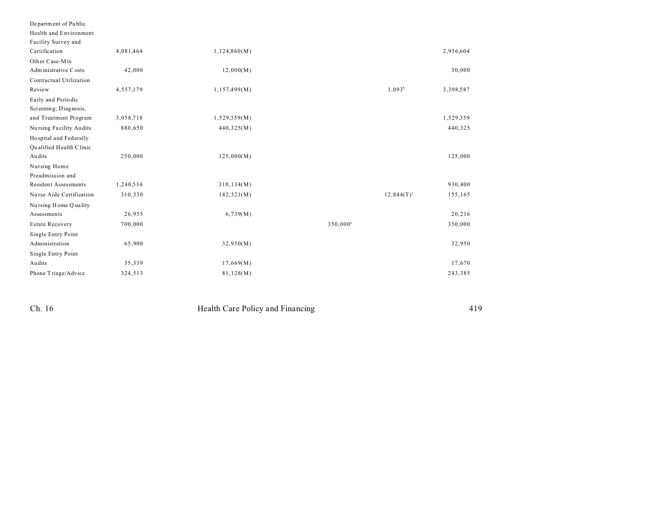| Department of Public        |           |              |                      |                          |           |
|-----------------------------|-----------|--------------|----------------------|--------------------------|-----------|
| Health and Environment      |           |              |                      |                          |           |
| Facility Survey and         |           |              |                      |                          |           |
| Certification               | 4,081,464 | 1,124,860(M) |                      |                          | 2,956,604 |
| Other Case-Mix              |           |              |                      |                          |           |
| Administrative Costs        | 42,000    | 12,000(M)    |                      |                          | 30,000    |
| Contractual Utilization     |           |              |                      |                          |           |
| Review                      | 4,557,179 | 1,157,499(M) |                      | $1,093^b$                | 3,398,587 |
| Early and Periodic          |           |              |                      |                          |           |
| Screening, Diagnosis,       |           |              |                      |                          |           |
| and Treatment Program       | 3,058,718 | 1,529,359(M) |                      |                          | 1,529,359 |
| Nursing Facility Audits     | 880,650   | 440,325(M)   |                      |                          | 440,325   |
| Hospital and Federally      |           |              |                      |                          |           |
| Qualified Health Clinic     |           |              |                      |                          |           |
| Audits                      | 250,000   | 125,000(M)   |                      |                          | 125,000   |
| Nursing Home                |           |              |                      |                          |           |
| Preadmission and            |           |              |                      |                          |           |
| <b>Resident Assessments</b> | 1,240,534 | 310, 134(M)  |                      |                          | 930,400   |
| Nurse Aide Certification    | 310,330   | 142,321(M)   |                      | $12,844(T)$ <sup>f</sup> | 155,165   |
| Nursing Home Quality        |           |              |                      |                          |           |
| Assessments                 | 26,955    | 6,739(M)     |                      |                          | 20,216    |
| <b>Estate Recovery</b>      | 700,000   |              | 350,000 <sup>s</sup> |                          | 350,000   |
| Single Entry Point          |           |              |                      |                          |           |
| Administration              | 65,900    | 32,950(M)    |                      |                          | 32,950    |
| Single Entry Point          |           |              |                      |                          |           |
| Audits                      | 35,339    | 17,669(M)    |                      |                          | 17,670    |
| Phone Triage/Advice         | 324,513   | 81,128(M)    |                      |                          | 243,385   |

 $Ch. 16$ 

Health Care Policy and Financing

419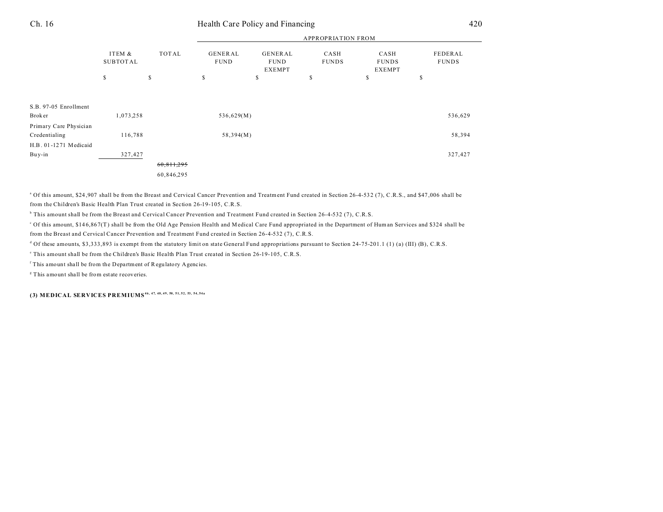| Health |
|--------|
|        |

## Ch. 16 Health Care Policy and Financing 420

|                        |                           |            |                               |                                         | <b>APPROPRIATION FROM</b> |                                       |                         |
|------------------------|---------------------------|------------|-------------------------------|-----------------------------------------|---------------------------|---------------------------------------|-------------------------|
|                        | ITEM &<br><b>SUBTOTAL</b> | TOTAL      | <b>GENERAL</b><br><b>FUND</b> | GENERAL<br><b>FUND</b><br><b>EXEMPT</b> | CASH<br><b>FUNDS</b>      | CASH<br><b>FUNDS</b><br><b>EXEMPT</b> | FEDERAL<br><b>FUNDS</b> |
|                        | $\mathbb S$               | S.         | S                             | S                                       | S                         | \$                                    | \$                      |
|                        |                           |            |                               |                                         |                           |                                       |                         |
| S.B. 97-05 Enrollment  |                           |            |                               |                                         |                           |                                       |                         |
| <b>Broker</b>          | 1,073,258                 |            | 536,629(M)                    |                                         |                           |                                       | 536,629                 |
| Primary Care Physician |                           |            |                               |                                         |                           |                                       |                         |
| Credentialing          | 116,788                   |            | 58,394(M)                     |                                         |                           |                                       | 58,394                  |
| H.B. 01-1271 Medicaid  |                           |            |                               |                                         |                           |                                       |                         |
| Buy-in                 | 327,427                   |            |                               |                                         |                           |                                       | 327,427                 |
|                        |                           | 60,811,295 |                               |                                         |                           |                                       |                         |
|                        |                           | 60,846,295 |                               |                                         |                           |                                       |                         |
|                        |                           |            |                               |                                         |                           |                                       |                         |

<sup>a</sup> Of this amount, \$24,907 shall be from the Breast and Cervical Cancer Prevention and Treatment Fund created in Section 26-4-532 (7), C.R.S., and \$47,006 shall be from the Children's Basic Health Plan Trust created in Section 26-19-105, C.R.S.

b This amount shall be from the Breast and Cervical Cancer Prevention and Treatment Fund created in Section 26-4-532 (7), C.R.S.

c Of this amount, \$14 6,86 7(T) shall be from the Old Age Pension Health and Medical Care Fund appropriated in the Department of Human Services and \$324 shall be from the Breast and Cervical Cancer Prevention and Treatment Fund created in Section 26-4-532 (7), C.R.S.

 $^d$  Of these amounts, \$3,333,893 is exempt from the statutory limit on state General Fund appropriations pursuant to Section 24-75-201.1 (1) (a) (III) (B), C.R.S.

e This amount shall be from the Children's Basic Health Plan Trust created in Section 26-19-105, C.R.S.

f This amount shall be from the Depa rtment of Regulatory Agencies.

<sup>8</sup> This amount shall be from estate recoveries.

**(3) MEDICAL SERVICES PREMIUMS46, 47, 48, 49, 50, 51, 52, 53, 54, 54a**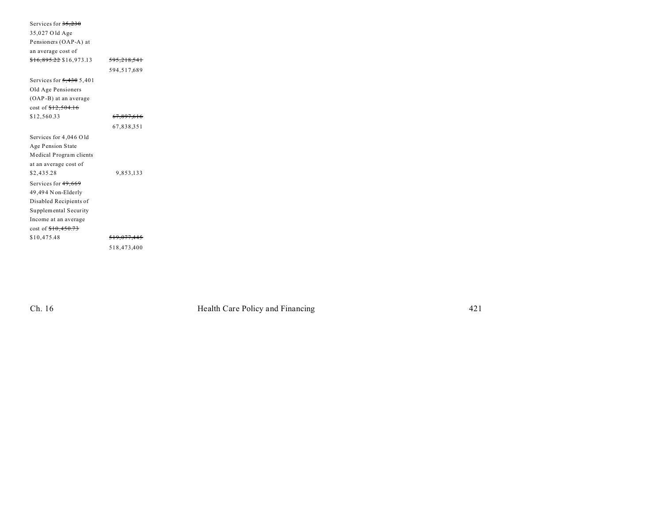| Services for 35,230                |                       |  |
|------------------------------------|-----------------------|--|
| 35,027 Old Age                     |                       |  |
| Pensioners (OAP-A) at              |                       |  |
| an average cost of                 |                       |  |
| <del>\$16,895.22</del> \$16,973.13 | 595,218,541           |  |
|                                    | 594,517,689           |  |
| Services for $5,430,5,401$         |                       |  |
| Old Age Pensioners                 |                       |  |
| (OAP-B) at an average              |                       |  |
| cost of $$12,504.16$               |                       |  |
| \$12,560.33                        | <del>67,897,616</del> |  |
|                                    | 67,838,351            |  |
| Services for 4,046 Old             |                       |  |
| Age Pension State                  |                       |  |
| Medical Program clients            |                       |  |
| at an average cost of              |                       |  |
| \$2,435.28                         | 9,853,133             |  |
| Services for 49,669                |                       |  |
| 49,494 N on-Elderly                |                       |  |
| Disabled Recipients of             |                       |  |
| Supplemental Security              |                       |  |
| Income at an average               |                       |  |
| cost of $$10,450.73$               |                       |  |
| \$10,475.48                        | 519,077,445           |  |
|                                    | 518,473,400           |  |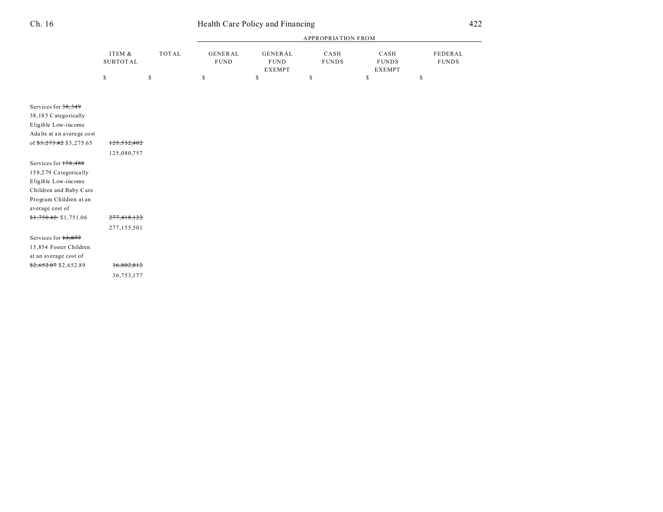| i |  |
|---|--|
|---|--|

|                           |                           |              | <b>APPROPRIATION FROM</b>     |                                                |                      |                                       |                         |  |
|---------------------------|---------------------------|--------------|-------------------------------|------------------------------------------------|----------------------|---------------------------------------|-------------------------|--|
|                           | ITEM &<br><b>SUBTOTAL</b> | <b>TOTAL</b> | <b>GENERAL</b><br><b>FUND</b> | <b>GENERAL</b><br><b>FUND</b><br><b>EXEMPT</b> | CASH<br><b>FUNDS</b> | CASH<br><b>FUNDS</b><br><b>EXEMPT</b> | FEDERAL<br><b>FUNDS</b> |  |
|                           | \$                        | \$           | $\mathbb S$                   | \$                                             | \$                   | \$                                    | \$                      |  |
| Services for $38,349$     |                           |              |                               |                                                |                      |                                       |                         |  |
| 38,185 Categorically      |                           |              |                               |                                                |                      |                                       |                         |  |
| Eligible Low-income       |                           |              |                               |                                                |                      |                                       |                         |  |
| Adults at an average cost |                           |              |                               |                                                |                      |                                       |                         |  |
| of \$3,273.42 \$3,275.65  | 125,532,402               |              |                               |                                                |                      |                                       |                         |  |
|                           | 125,080,757               |              |                               |                                                |                      |                                       |                         |  |
| Services for 158,488      |                           |              |                               |                                                |                      |                                       |                         |  |
| 158,279 Categorically     |                           |              |                               |                                                |                      |                                       |                         |  |
| Eligible Low-income       |                           |              |                               |                                                |                      |                                       |                         |  |
| Children and Baby Care    |                           |              |                               |                                                |                      |                                       |                         |  |
| Program Children at an    |                           |              |                               |                                                |                      |                                       |                         |  |
| average cost of           |                           |              |                               |                                                |                      |                                       |                         |  |
| $$1,750.40$ \$1,751.06    | 277,418,122               |              |                               |                                                |                      |                                       |                         |  |
|                           | 277,155,501               |              |                               |                                                |                      |                                       |                         |  |
| Services for $13,877$     |                           |              |                               |                                                |                      |                                       |                         |  |
| 13,854 Foster Children    |                           |              |                               |                                                |                      |                                       |                         |  |
| at an average cost of     |                           |              |                               |                                                |                      |                                       |                         |  |
| $$2,652.07$ \$2,652.89    | 36,802,812                |              |                               |                                                |                      |                                       |                         |  |
|                           | 36,753,177                |              |                               |                                                |                      |                                       |                         |  |
|                           |                           |              |                               |                                                |                      |                                       |                         |  |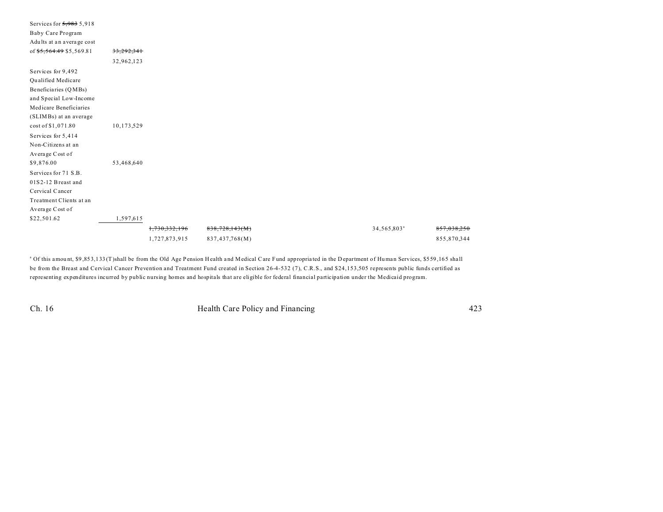| Services for 5,983 5,918  |            |               |                |  |                         |             |
|---------------------------|------------|---------------|----------------|--|-------------------------|-------------|
| Baby Care Program         |            |               |                |  |                         |             |
| Adults at an average cost |            |               |                |  |                         |             |
| of \$5,564.49 \$5,569.81  | 33,292,341 |               |                |  |                         |             |
|                           | 32,962,123 |               |                |  |                         |             |
| Services for 9,492        |            |               |                |  |                         |             |
| Qualified Medicare        |            |               |                |  |                         |             |
| Beneficiaries (QMBs)      |            |               |                |  |                         |             |
| and Special Low-Income    |            |               |                |  |                         |             |
| Medicare Beneficiaries    |            |               |                |  |                         |             |
| (SLIMBs) at an average    |            |               |                |  |                         |             |
| cost of \$1,071.80        | 10,173,529 |               |                |  |                         |             |
| Services for 5,414        |            |               |                |  |                         |             |
| Non-Citizens at an        |            |               |                |  |                         |             |
| Average Cost of           |            |               |                |  |                         |             |
| \$9,876.00                | 53,468,640 |               |                |  |                         |             |
| Services for 71 S.B.      |            |               |                |  |                         |             |
| 01S2-12 Breast and        |            |               |                |  |                         |             |
| Cervical Cancer           |            |               |                |  |                         |             |
| Treatment Clients at an   |            |               |                |  |                         |             |
| Average Cost of           |            |               |                |  |                         |             |
| \$22,501.62               | 1,597,615  |               |                |  |                         |             |
|                           |            | 1,730,332,196 | 838,728,143(M) |  | 34,565,803 <sup>a</sup> | 857,038,250 |
|                           |            | 1,727,873,915 | 837,437,768(M) |  |                         | 855,870,344 |

<sup>a</sup> Of this amount, \$9,853,133 (T)shall be from the Old Age Pension Health and Medical Care Fund appropriated in the Department of Human Services, \$559,165 shall be from the Breast and Cervical Cancer Prevention and Treatment Fund created in Section 26-4-532 (7), C.R.S., and \$24,153,505 represents public funds certified as representing expenditures incurred by public nursing homes and hospitals that are eligible for federal financial participation under the Medicaid program.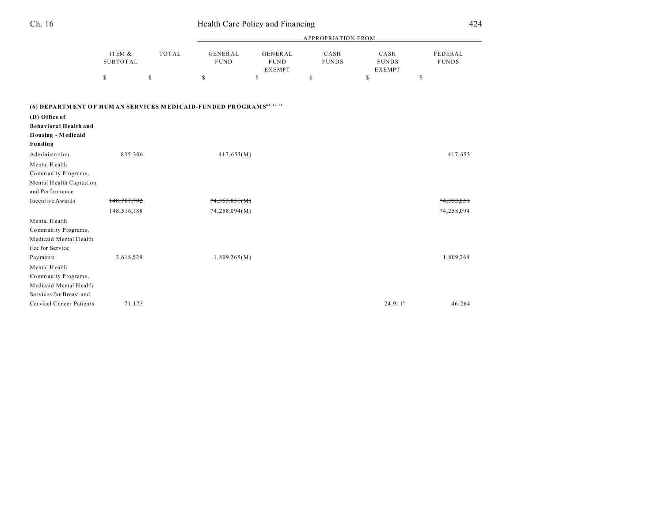| Ch. 16                                                                                                                                                  | Health Care Policy and Financing |              |                               |                                                |                      |                                       |                         |
|---------------------------------------------------------------------------------------------------------------------------------------------------------|----------------------------------|--------------|-------------------------------|------------------------------------------------|----------------------|---------------------------------------|-------------------------|
|                                                                                                                                                         |                                  |              |                               |                                                |                      |                                       |                         |
|                                                                                                                                                         | ITEM &<br><b>SUBTOTAL</b>        | <b>TOTAL</b> | <b>GENERAL</b><br><b>FUND</b> | <b>GENERAL</b><br><b>FUND</b><br><b>EXEMPT</b> | CASH<br><b>FUNDS</b> | CASH<br><b>FUNDS</b><br><b>EXEMPT</b> | FEDERAL<br><b>FUNDS</b> |
|                                                                                                                                                         | $\mathbb S$                      | $\mathbb S$  | \$                            | $\mathbb S$                                    | $\mathbb S$          | \$                                    | \$                      |
| (6) DEPARTMENT OF HUM AN SERVICES MEDICAID-FUNDED PROGRAMS <sup>62, 63, 64</sup><br>(D) Office of<br><b>Behavioral Health and</b><br>Housing - Medicaid |                                  |              |                               |                                                |                      |                                       |                         |
| Funding                                                                                                                                                 |                                  |              |                               |                                                |                      |                                       |                         |
| Administration                                                                                                                                          | 835,306                          |              | 417,653(M)                    |                                                |                      |                                       | 417,653                 |
| Mental Health                                                                                                                                           |                                  |              |                               |                                                |                      |                                       |                         |
| Community Programs,                                                                                                                                     |                                  |              |                               |                                                |                      |                                       |                         |
| Mental Health Capitation                                                                                                                                |                                  |              |                               |                                                |                      |                                       |                         |
| and Performance                                                                                                                                         |                                  |              |                               |                                                |                      |                                       |                         |
| <b>Incentive Awards</b>                                                                                                                                 | 148,707,702                      |              | <del>74,353,851(M)</del>      |                                                |                      |                                       | <del>74,353,851</del>   |
|                                                                                                                                                         | 148,516,188                      |              | 74,258,094(M)                 |                                                |                      |                                       | 74,258,094              |
| Mental Health                                                                                                                                           |                                  |              |                               |                                                |                      |                                       |                         |
| Community Programs,                                                                                                                                     |                                  |              |                               |                                                |                      |                                       |                         |
| Medicaid Mental Health                                                                                                                                  |                                  |              |                               |                                                |                      |                                       |                         |
| Fee for Service                                                                                                                                         |                                  |              |                               |                                                |                      |                                       |                         |
| Payments                                                                                                                                                | 3,618,529                        |              | 1,809,265(M)                  |                                                |                      |                                       | 1,809,264               |
| Mental Health                                                                                                                                           |                                  |              |                               |                                                |                      |                                       |                         |
| Community Programs,                                                                                                                                     |                                  |              |                               |                                                |                      |                                       |                         |
| Medicaid Mental Health                                                                                                                                  |                                  |              |                               |                                                |                      |                                       |                         |
| Services for Breast and                                                                                                                                 |                                  |              |                               |                                                |                      |                                       |                         |
| Cervical Cancer Patients                                                                                                                                | 71,175                           |              |                               |                                                |                      | $24,911^a$                            | 46,264                  |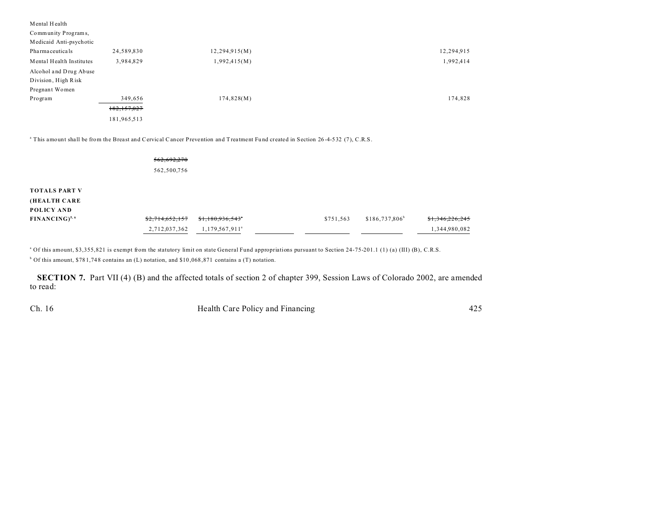| Mental Health            |               |               |            |
|--------------------------|---------------|---------------|------------|
| Community Programs,      |               |               |            |
| Medicaid Anti-psychotic  |               |               |            |
| Pharmaceuticals          | 24,589,830    | 12,294,915(M) | 12,294,915 |
| Mental Health Institutes | 3,984,829     | 1,992,415(M)  | 1,992,414  |
| Alcohol and Drug Abuse   |               |               |            |
| Division, High Risk      |               |               |            |
| Pregnant Women           |               |               |            |
| Program                  | 349,656       | 174,828(M)    | 174,828    |
|                          | 182, 157, 027 |               |            |
|                          | 181,965,513   |               |            |
|                          |               |               |            |

a This amount shall be from the Breast and Cervical Cancer Prevention and Treatment Fu nd created in Section 26 -4-532 (7), C.R.S.

|                                                    | 562,692,270<br>562,500,756       |                                             |           |                  |                                  |
|----------------------------------------------------|----------------------------------|---------------------------------------------|-----------|------------------|----------------------------------|
| <b>TOTALS PART V</b><br>(HEALTH CARE<br>POLICY AND |                                  |                                             |           |                  |                                  |
| $FINANCING)^{5,6}$                                 | \$2,714,652,157<br>2,712,037,362 | \$1,180,936,543"<br>$1,179,567,911^{\circ}$ | \$751,563 | $$186,737,806^b$ | \$1,346,226,245<br>1,344,980,082 |

<sup>a</sup> Of this amount, \$3,355,821 is exempt from the statutory limit on state General Fund appropriations pursuant to Section 24-75-201.1 (1) (a) (III) (B), C.R.S.

<sup>b</sup> Of this amount, \$781,748 contains an (L) notation, and \$10,068,871 contains a (T) notation.

**SECTION 7.** Part VII (4) (B) and the affected totals of section 2 of chapter 399, Session Laws of Colorado 2002, are amended to read: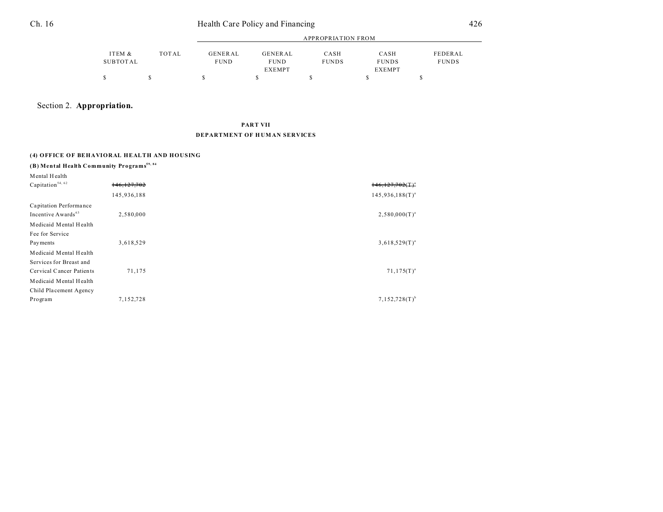| Ch. 16 |                    | Health Care Policy and Financing |                               |                                         |                      |                                       |                         |
|--------|--------------------|----------------------------------|-------------------------------|-----------------------------------------|----------------------|---------------------------------------|-------------------------|
|        |                    |                                  | <b>APPROPRIATION FROM</b>     |                                         |                      |                                       |                         |
|        | ITEM &<br>SUBTOTAL | <b>TOTAL</b>                     | <b>GENERAL</b><br><b>FUND</b> | GENERAL<br><b>FUND</b><br><b>EXEMPT</b> | CASH<br><b>FUNDS</b> | CASH<br><b>FUNDS</b><br><b>EXEMPT</b> | FEDERAL<br><b>FUNDS</b> |
|        |                    |                                  |                               |                                         | S                    |                                       | S                       |

### Section 2. **Appropriation.**

### **PART VII DEPARTMENT OF H UM AN SERVICES**

### **(4) OFFICE OF BEHAVIORAL HEALTH AND HOUSING**

### **(B) Mental Health Community Programs59, 84**

| Mental Health                  |               |                         |
|--------------------------------|---------------|-------------------------|
| Capitation <sup>54, 62</sup>   | 146, 127, 702 | $146, 127, 702$ $(T)^2$ |
|                                | 145,936,188   | $145,936,188(T)^{a}$    |
| Capitation Performance         |               |                         |
| Incentive Awards <sup>63</sup> | 2,580,000     | $2,580,000(T)^{a}$      |
| Medicaid Mental Health         |               |                         |
| Fee for Service                |               |                         |
| Payments                       | 3,618,529     | $3,618,529(T)^{a}$      |
| Medicaid Mental Health         |               |                         |
| Services for Breast and        |               |                         |
| Cervical Cancer Patients       | 71,175        | $71,175(T)^{a}$         |
| Medicaid Mental Health         |               |                         |
| Child Placement Agency         |               |                         |
| Program                        | 7,152,728     | $7,152,728(T)^{b}$      |
|                                |               |                         |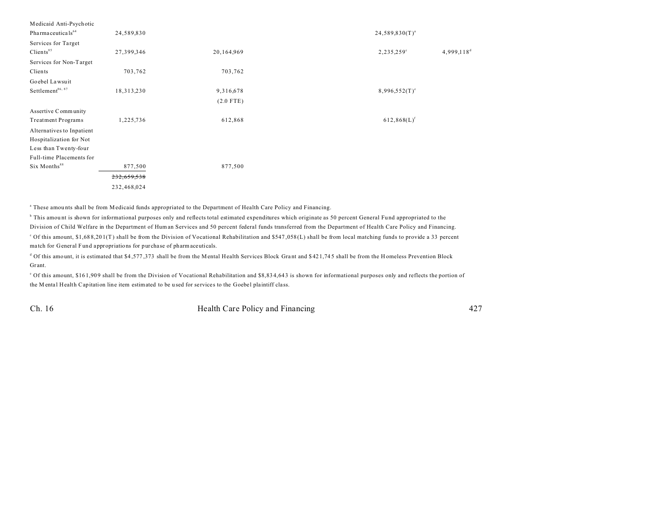| Medicaid Anti-Psychotic        |              |             |                                      |
|--------------------------------|--------------|-------------|--------------------------------------|
| Pharma ceuticals <sup>64</sup> | 24,589,830   |             | $24,589,830(T)^{a}$                  |
| Services for Target            |              |             |                                      |
| Clients <sup>85</sup>          | 27,399,346   | 20,164,969  | $4,999,118^d$<br>$2,235,259^{\circ}$ |
| Services for Non-Target        |              |             |                                      |
| Clients                        | 703,762      | 703,762     |                                      |
| Goebel Lawsuit                 |              |             |                                      |
| Settlement $^{86,\;87}$        | 18, 313, 230 | 9,316,678   | $8,996,552(T)^e$                     |
|                                |              | $(2.0$ FTE) |                                      |
| Assertive Community            |              |             |                                      |
| <b>Treatment Programs</b>      | 1,225,736    | 612,868     | $612,868(L)$ <sup>f</sup>            |
| Alternatives to Inpatient      |              |             |                                      |
| Hospitalization for Not        |              |             |                                      |
| Less than Twenty-four          |              |             |                                      |
| Full-time Placements for       |              |             |                                      |
| Six Months <sup>88</sup>       | 877,500      | 877,500     |                                      |
|                                | 232,659,538  |             |                                      |
|                                | 232,468,024  |             |                                      |
|                                |              |             |                                      |

a These amou nts shall be from Medicaid funds appropriated to the Department of Health Care Policy and Financing.

<sup>b</sup> This amount is shown for informational purposes only and reflects total estimated expenditures which originate as 50 percent General Fund appropriated to the Division of Child Welfare in the Department of Human Services and 50 percent federal funds transferred from the Department of Health Care Policy and Financing. <sup>o</sup> Of this amount, \$1,688,201(T) shall be from the Division of Vocational Rehabilitation and \$547,058(L) shall be from local matching funds to provide a 33 percent ma tch for General Fund appropriations for purcha se of pharmaceuticals.

 $^d$  Of this amount, it is estimated that \$4,577,373 shall be from the Mental Health Services Block Grant and \$421,745 shall be from the H omeless Prevention Block Gr ant.

<sup>o</sup> Of this amount, \$161,909 shall be from the Division of Vocational Rehabilitation and \$8,834,643 is shown for informational purposes only and reflects the portion of the M ental Health Capitation line item estimated to be used for services to the Goebel plaintiff class.